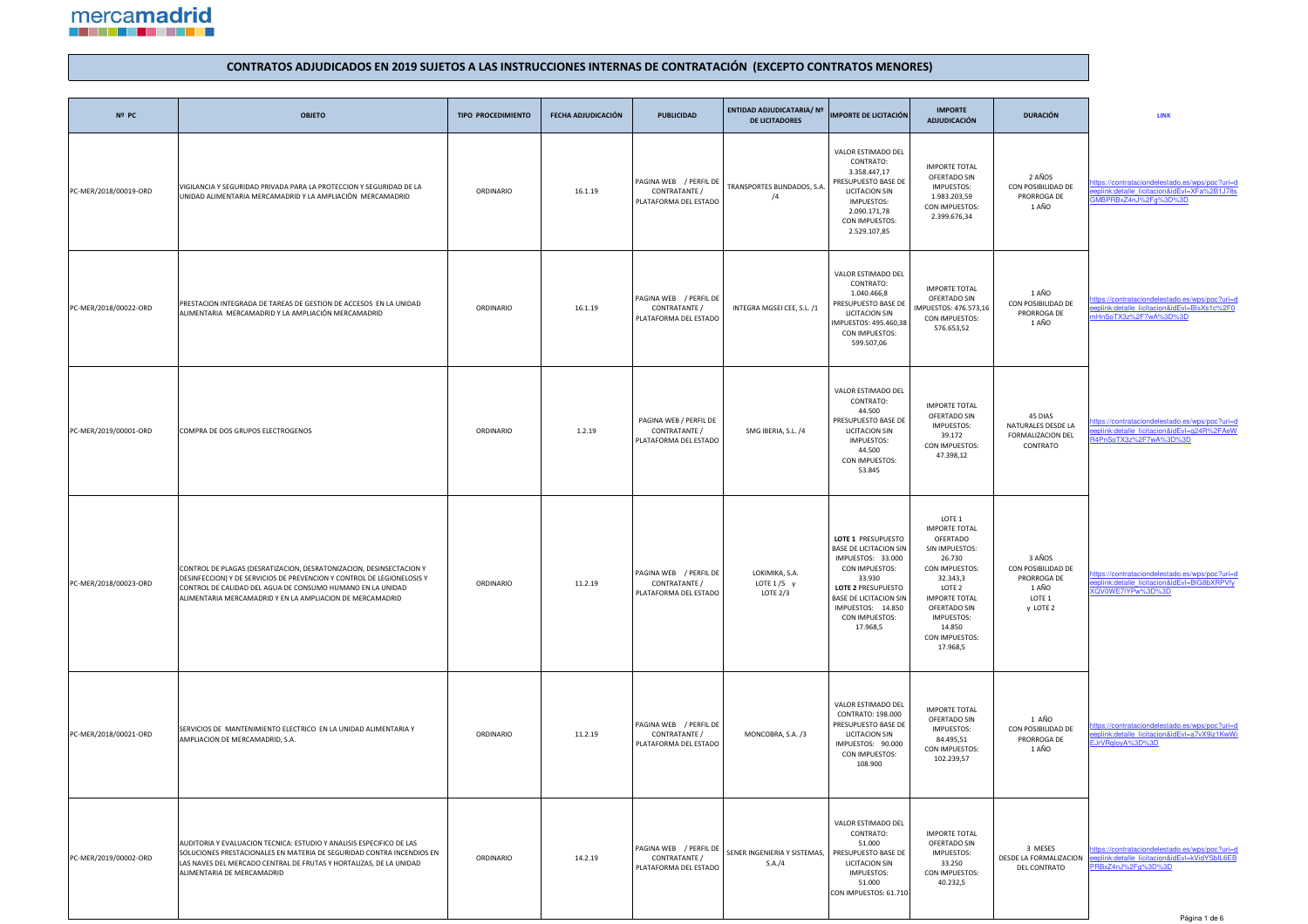

| Nº PC                 | <b>OBJETO</b>                                                                                                                                                                                                                                                            | <b>TIPO PROCEDIMIENTO</b> | FECHA ADJUDICACIÓN | <b>PUBLICIDAD</b>                                                | ENTIDAD ADJUDICATARIA/ Nº<br><b>DE LICITADORES</b> | <b>IMPORTE DE LICITACIÓN</b>                                                                                                                                                                            | <b>IMPORTE</b><br><b>ADJUDICACIÓN</b>                                                                                                                                                                                   | <b>DURACIÓN</b>                                                            | LINK                                                                                                                                                         |
|-----------------------|--------------------------------------------------------------------------------------------------------------------------------------------------------------------------------------------------------------------------------------------------------------------------|---------------------------|--------------------|------------------------------------------------------------------|----------------------------------------------------|---------------------------------------------------------------------------------------------------------------------------------------------------------------------------------------------------------|-------------------------------------------------------------------------------------------------------------------------------------------------------------------------------------------------------------------------|----------------------------------------------------------------------------|--------------------------------------------------------------------------------------------------------------------------------------------------------------|
| PC-MER/2018/00019-ORD | VIGILANCIA Y SEGURIDAD PRIVADA PARA LA PROTECCION Y SEGURIDAD DE LA<br>UNIDAD ALIMENTARIA MERCAMADRID Y LA AMPLIACIÓN MERCAMADRID                                                                                                                                        | ORDINARIO                 | 16.1.19            | PAGINA WEB / PERFIL DE<br>CONTRATANTE /<br>PLATAFORMA DEL ESTADO | TRANSPORTES BLINDADOS, S.A.<br>/4                  | VALOR ESTIMADO DEL<br>CONTRATO:<br>3.358.447,17<br>PRESUPUESTO BASE DE<br><b>LICITACION SIN</b><br>IMPUESTOS:<br>2.090.171,78<br>CON IMPUESTOS:<br>2.529.107,85                                         | <b>IMPORTE TOTAL</b><br>OFERTADO SIN<br>IMPUESTOS:<br>1.983.203,59<br>CON IMPUESTOS:<br>2.399.676,34                                                                                                                    | 2 AÑOS<br>CON POSIBILIDAD DE<br>PRORROGA DE<br>1 AÑO                       | ttps://contrataciondelestado.es/wps/poc?uri=d<br>eplink:detalle_licitacion&idEvl=XFa%2B1J78s<br>GMBPRBxZ4nJ%2Fg%3D%3D                                        |
| PC-MER/2018/00022-ORD | PRESTACION INTEGRADA DE TAREAS DE GESTION DE ACCESOS EN LA UNIDAD<br>ALIMENTARIA MERCAMADRID Y LA AMPLIACIÓN MERCAMADRID                                                                                                                                                 | ORDINARIO                 | 16.1.19            | PAGINA WEB / PERFIL DE<br>CONTRATANTE /<br>PLATAFORMA DEL ESTADO | INTEGRA MGSEI CEE, S.L. /1                         | VALOR ESTIMADO DEL<br>CONTRATO:<br>1.040.466,8<br>PRESUPUESTO BASE DE<br><b>LICITACION SIN</b><br>IMPUESTOS: 495.460,38<br>CON IMPUESTOS:<br>599.507,06                                                 | <b>IMPORTE TOTAL</b><br>OFERTADO SIN<br>IMPUESTOS: 476.573,16<br>CON IMPUESTOS:<br>576.653,52                                                                                                                           | 1 AÑO<br>CON POSIBILIDAD DE<br>PRORROGA DE<br>1 AÑO                        | tps://contrataciondelestado.es/wps/poc?uri=d<br>eplink:detalle_licitacion&idEvI=BlsXs1c%2F0<br>mHnSoTX3z%2F7wA%3D%3D                                         |
| PC-MER/2019/00001-ORD | COMPRA DE DOS GRUPOS ELECTROGENOS                                                                                                                                                                                                                                        | ORDINARIO                 | 1.2.19             | PAGINA WEB / PERFIL DE<br>CONTRATANTE /<br>PLATAFORMA DEL ESTADO | SMG IBERIA, S.L. /4                                | VALOR ESTIMADO DEL<br>CONTRATO:<br>44.500<br>PRESUPUESTO BASE DE<br><b>LICITACION SIN</b><br>IMPUESTOS:<br>44.500<br>CON IMPUESTOS:<br>53.845                                                           | <b>IMPORTE TOTAL</b><br>OFERTADO SIN<br><b>IMPUESTOS:</b><br>39.172<br>CON IMPUESTOS:<br>47.398,12                                                                                                                      | 45 DIAS<br>NATURALES DESDE LA<br>FORMALIZACION DEL<br>CONTRATO             | ttps://contrataciondelestado.es/wps/poc?uri=d<br>eplink:detalle_licitacion&idEvl=q24R%2FAeW<br>R4PnSoTX3z%2F7wA%3D%3D                                        |
| PC-MER/2018/00023-ORD | CONTROL DE PLAGAS (DESRATIZACION, DESRATONIZACION, DESINSECTACION Y<br>DESINFECCION) Y DE SERVICIOS DE PREVENCION Y CONTROL DE LEGIONELOSIS Y<br>CONTROL DE CALIDAD DEL AGUA DE CONSUMO HUMANO EN LA UNIDAD<br>ALIMENTARIA MERCAMADRID Y EN LA AMPLIACION DE MERCAMADRID | ORDINARIO                 | 11.2.19            | PAGINA WEB / PERFIL DE<br>CONTRATANTE /<br>PLATAFORMA DEL ESTADO | LOKIMIKA, S.A.<br>LOTE $1/5$ y<br>LOTE 2/3         | LOTE 1 PRESUPUESTO<br>BASE DE LICITACION SIN<br>IMPUESTOS: 33.000<br>CON IMPUESTOS:<br>33.930<br>LOTE 2 PRESUPUESTO<br><b>BASE DE LICITACION SIN</b><br>IMPUESTOS: 14.850<br>CON IMPUESTOS:<br>17.968,5 | LOTE 1<br><b>IMPORTE TOTAL</b><br>OFERTADO<br>SIN IMPUESTOS:<br>26.730<br>CON IMPUESTOS:<br>32.343,3<br>LOTE <sub>2</sub><br><b>IMPORTE TOTAL</b><br>OFERTADO SIN<br>IMPUESTOS:<br>14.850<br>CON IMPUESTOS:<br>17.968,5 | 3 AÑOS<br>CON POSIBILIDAD DE<br>PRORROGA DE<br>1 AÑO<br>LOTE 1<br>y LOTE 2 | ttps://contrataciondelestado.es/wps/poc?uri=d<br>eeplink:detalle_licitacion&idEvl=BIG8bXRPVfy<br>XQV0WE7IYPw%3D%3D                                           |
| PC-MER/2018/00021-ORD | SERVICIOS DE MANTENIMIENTO ELECTRICO EN LA UNIDAD ALIMENTARIA Y<br>AMPLIACION DE MERCAMADRID, S.A.                                                                                                                                                                       | ORDINARIO                 | 11.2.19            | PAGINA WEB / PERFIL DE<br>CONTRATANTE /<br>PLATAFORMA DEL ESTADO | MONCOBRA, S.A. /3                                  | VALOR ESTIMADO DEL<br>CONTRATO: 198.000<br>PRESUPUESTO BASE DE<br><b>LICITACION SIN</b><br>IMPUESTOS: 90.000<br>CON IMPUESTOS:<br>108.900                                                               | <b>IMPORTE TOTAL</b><br>OFERTADO SIN<br>IMPUESTOS:<br>84.495,51<br>CON IMPUESTOS:<br>102.239,57                                                                                                                         | 1 AÑO<br>CON POSIBILIDAD DE<br>PRORROGA DE<br>1 AÑO                        | ittps://contrataciondelestado.es/wps/poc?uri=d<br>eeplink:detalle licitacion&idEvl=a7vX9iz1KwWi<br>EJrVRqloyA%3D%3D                                          |
| PC-MER/2019/00002-ORD | AUDITORIA Y EVALUACION TECNICA: ESTUDIO Y ANALISIS ESPECIFICO DE LAS<br>SOLUCIONES PRESTACIONALES EN MATERIA DE SEGURIDAD CONTRA INCENDIOS EN<br>LAS NAVES DEL MERCADO CENTRAL DE FRUTAS Y HORTALIZAS, DE LA UNIDAD<br>ALIMENTARIA DE MERCAMADRID                        | ORDINARIO                 | 14.2.19            | PAGINA WEB / PERFIL DE<br>CONTRATANTE /<br>PLATAFORMA DEL ESTADO | SENER INGENIERIA Y SISTEMAS,<br>S.A./4             | VALOR ESTIMADO DEL<br>CONTRATO:<br>51.000<br>PRESUPUESTO BASE DE<br><b>LICITACION SIN</b><br>IMPUESTOS:<br>51.000<br>CON IMPUESTOS: 61.710                                                              | <b>IMPORTE TOTAL</b><br>OFERTADO SIN<br>IMPUESTOS:<br>33.250<br>CON IMPUESTOS:<br>40.232,5                                                                                                                              | 3 MESES<br>DEL CONTRATO                                                    | ttps://contrataciondelestado.es/wps/poc?uri=d<br>DESDE LA FORMALIZACION eeplink:detaile licitacion&idEvl=kVidYSbIL6EB<br>PRBxZ4nJ%2Fg%3D%3D<br>Página 1 de 6 |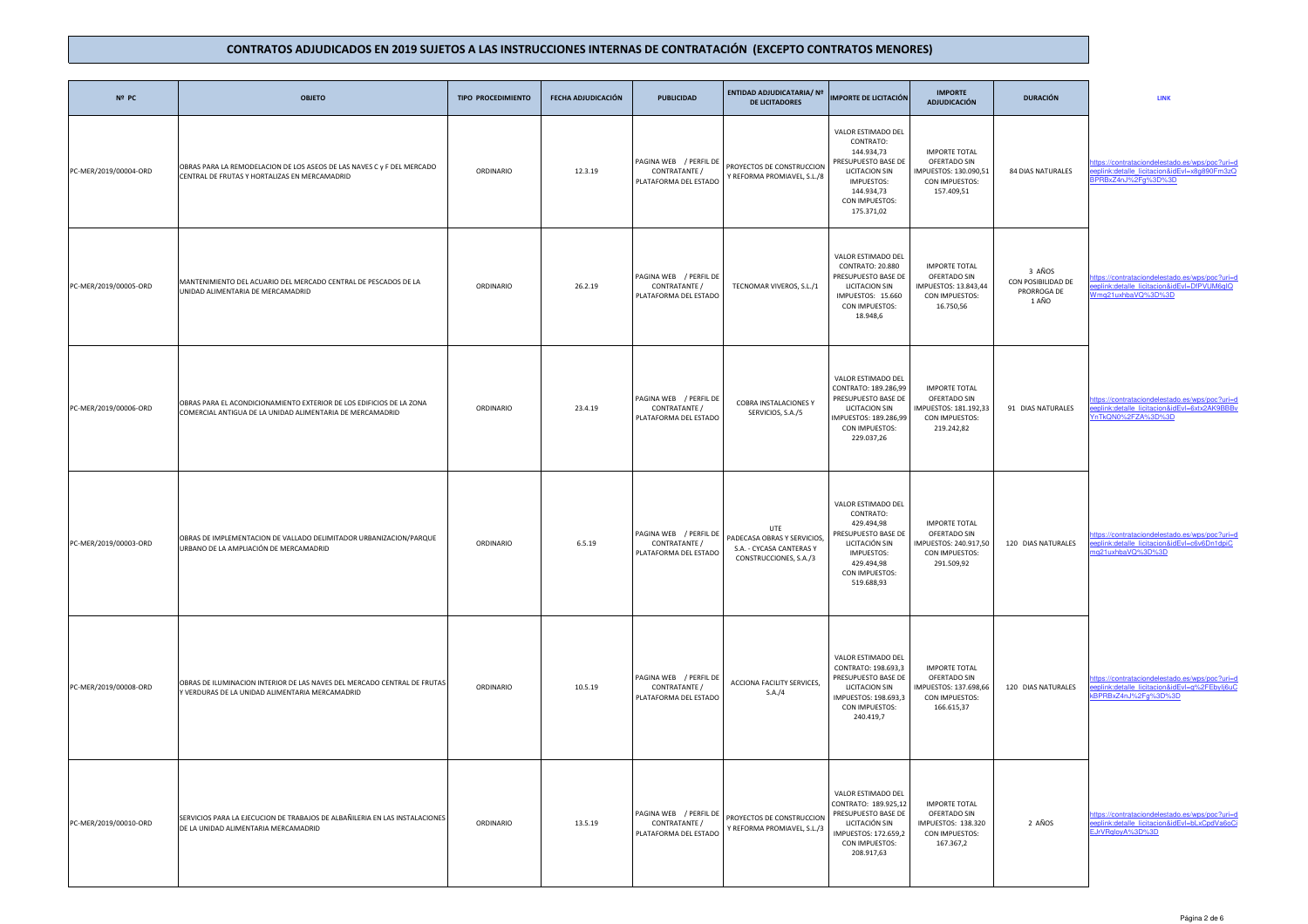| Nº PC                 | <b>OBJETO</b>                                                                                                                     | TIPO PROCEDIMIENTO | FECHA ADJUDICACIÓN | <b>PUBLICIDAD</b>                                                | <b>ENTIDAD ADJUDICATARIA/ Nº</b><br><b>DE LICITADORES</b>                                       | <b>IMPORTE DE LICITACIÓN</b>                                                                                                                       | <b>IMPORTE</b><br><b>ADJUDICACIÓN</b>                                                              | <b>DURACIÓN</b>                                      |                                                                                                                     |
|-----------------------|-----------------------------------------------------------------------------------------------------------------------------------|--------------------|--------------------|------------------------------------------------------------------|-------------------------------------------------------------------------------------------------|----------------------------------------------------------------------------------------------------------------------------------------------------|----------------------------------------------------------------------------------------------------|------------------------------------------------------|---------------------------------------------------------------------------------------------------------------------|
| PC-MER/2019/00004-ORD | OBRAS PARA LA REMODELACION DE LOS ASEOS DE LAS NAVES C y F DEL MERCADO<br>CENTRAL DE FRUTAS Y HORTALIZAS EN MERCAMADRID           | ORDINARIO          | 12.3.19            | PAGINA WEB / PERFIL DE<br>CONTRATANTE /<br>PLATAFORMA DEL ESTADO | PROYECTOS DE CONSTRUCCION<br>Y REFORMA PROMIAVEL, S.L./8                                        | VALOR ESTIMADO DEL<br>CONTRATO:<br>144.934,73<br>PRESUPUESTO BASE DE<br>LICITACION SIN<br>IMPUESTOS:<br>144.934,73<br>CON IMPUESTOS:<br>175.371,02 | <b>IMPORTE TOTAL</b><br>OFERTADO SIN<br>IMPUESTOS: 130.090,51<br>CON IMPUESTOS:<br>157.409,51      | 84 DIAS NATURALES                                    | tps://contrataciondelestado.es/wps/poc?uri=d<br>eplink:detalle_licitacion&idEvl=x8g890Fm3zQ<br>PRBxZ4nJ%2Fg%3D%3D   |
| PC-MER/2019/00005-ORD | MANTENIMIENTO DEL ACUARIO DEL MERCADO CENTRAL DE PESCADOS DE LA<br>UNIDAD ALIMENTARIA DE MERCAMADRID                              | ORDINARIO          | 26.2.19            | PAGINA WEB / PERFIL DE<br>CONTRATANTE /<br>PLATAFORMA DEL ESTADO | TECNOMAR VIVEROS, S.L./1                                                                        | VALOR ESTIMADO DEL<br>CONTRATO: 20.880<br>PRESUPUESTO BASE DE<br><b>LICITACION SIN</b><br>IMPUESTOS: 15.660<br>CON IMPUESTOS:<br>18.948,6          | <b>IMPORTE TOTAL</b><br>OFERTADO SIN<br><b>IMPUESTOS: 13.843,44</b><br>CON IMPUESTOS:<br>16.750,56 | 3 AÑOS<br>CON POSIBILIDAD DE<br>PRORROGA DE<br>1 AÑO | tps://contrataciondelestado.es/wps/poc?uri=c<br>plink:detalle_licitacion&idEvI=DfPVUM6qIQ<br>Vmg21uxhbaVQ%3D%3D     |
| PC-MER/2019/00006-ORD | OBRAS PARA EL ACONDICIONAMIENTO EXTERIOR DE LOS EDIFICIOS DE LA ZONA<br>COMERCIAL ANTIGUA DE LA UNIDAD ALIMENTARIA DE MERCAMADRID | ORDINARIO          | 23.4.19            | PAGINA WEB / PERFIL DE<br>CONTRATANTE /<br>PLATAFORMA DEL ESTADO | COBRA INSTALACIONES Y<br>SERVICIOS, S.A./5                                                      | VALOR ESTIMADO DEL<br>CONTRATO: 189.286,99<br>PRESUPUESTO BASE DE<br>LICITACION SIN<br>IMPUESTOS: 189.286,99<br>CON IMPUESTOS:<br>229.037,26       | <b>IMPORTE TOTAL</b><br>OFERTADO SIN<br>IMPUESTOS: 181.192,33<br>CON IMPUESTOS:<br>219.242,82      | 91 DIAS NATURALES                                    | tps://contrataciondelestado.es/wps/poc?uri=d<br>eplink:detalle_licitacion&idEvl=6xtx2AK9BBBv<br>nTkQN0%2FZA%3D%3D   |
| PC-MER/2019/00003-ORD | OBRAS DE IMPLEMENTACION DE VALLADO DELIMITADOR URBANIZACION/PARQUE<br>URBANO DE LA AMPLIACIÓN DE MERCAMADRID                      | ORDINARIO          | 6.5.19             | PAGINA WEB / PERFIL DE<br>CONTRATANTE /<br>PLATAFORMA DEL ESTADO | <b>UTF</b><br>PADECASA OBRAS Y SERVICIOS,<br>S.A. - CYCASA CANTERAS Y<br>CONSTRUCCIONES, S.A./3 | VALOR ESTIMADO DEL<br>CONTRATO:<br>429.494,98<br>PRESUPUESTO BASE DE<br>LICITACIÓN SIN<br>IMPUESTOS:<br>429.494,98<br>CON IMPUESTOS:<br>519.688,93 | <b>IMPORTE TOTAL</b><br>OFERTADO SIN<br>IMPUESTOS: 240.917,50<br>CON IMPUESTOS:<br>291.509,92      | 120 DIAS NATURALES                                   | ttps://contrataciondelestado.es/wps/poc?uri=d<br>eplink:detalle_licitacion&idEvl=c6v6Dn1dpiC<br>ng21uxhbaVQ%3D%3D   |
| PC-MER/2019/00008-ORD | OBRAS DE ILUMINACION INTERIOR DE LAS NAVES DEL MERCADO CENTRAL DE FRUTAS<br>VERDURAS DE LA UNIDAD ALIMENTARIA MERCAMADRID         | ORDINARIO          | 10.5.19            | PAGINA WEB / PERFIL DE<br>CONTRATANTE /<br>PLATAFORMA DEL ESTADO | ACCIONA FACILITY SERVICES,<br>S.A./4                                                            | VALOR ESTIMADO DEL<br>CONTRATO: 198.693,3<br>PRESUPUESTO BASE DE<br><b>LICITACION SIN</b><br>IMPUESTOS: 198.693,3<br>CON IMPUESTOS:<br>240.419,7   | <b>IMPORTE TOTAL</b><br>OFERTADO SIN<br>MPUESTOS: 137.698,66<br>CON IMPUESTOS:<br>166.615,37       | 120 DIAS NATURALES                                   | tps://contrataciondelestado.es/wps/poc?uri=c<br>eplink:detalle licitacion&idEvl=q%2FEbylj6uC<br>BPRBxZ4nJ%2Fa%3D%3D |
| PC-MER/2019/00010-ORD | SERVICIOS PARA LA EJECUCION DE TRABAJOS DE ALBAÑILERIA EN LAS INSTALACIONES<br>DE LA UNIDAD ALIMENTARIA MERCAMADRID               | ORDINARIO          | 13.5.19            | PAGINA WEB / PERFIL DE<br>CONTRATANTE /<br>PLATAFORMA DEL ESTADO | PROYECTOS DE CONSTRUCCION<br>Y REFORMA PROMIAVEL, S.L./3                                        | VALOR ESTIMADO DEL<br>CONTRATO: 189.925,12<br>PRESUPUESTO BASE DE<br>LICITACIÓN SIN<br>IMPUESTOS: 172.659,2<br>CON IMPUESTOS:<br>208.917,63        | <b>IMPORTE TOTAL</b><br>OFERTADO SIN<br>IMPUESTOS: 138.320<br>CON IMPUESTOS:<br>167.367,2          | 2 AÑOS                                               | ttps://contrataciondelestado.es/wps/poc?uri=d<br>eplink:detalle_licitacion&idEvl=bLxCpdVa6oCi<br>EJrVRgloyA%3D%3D   |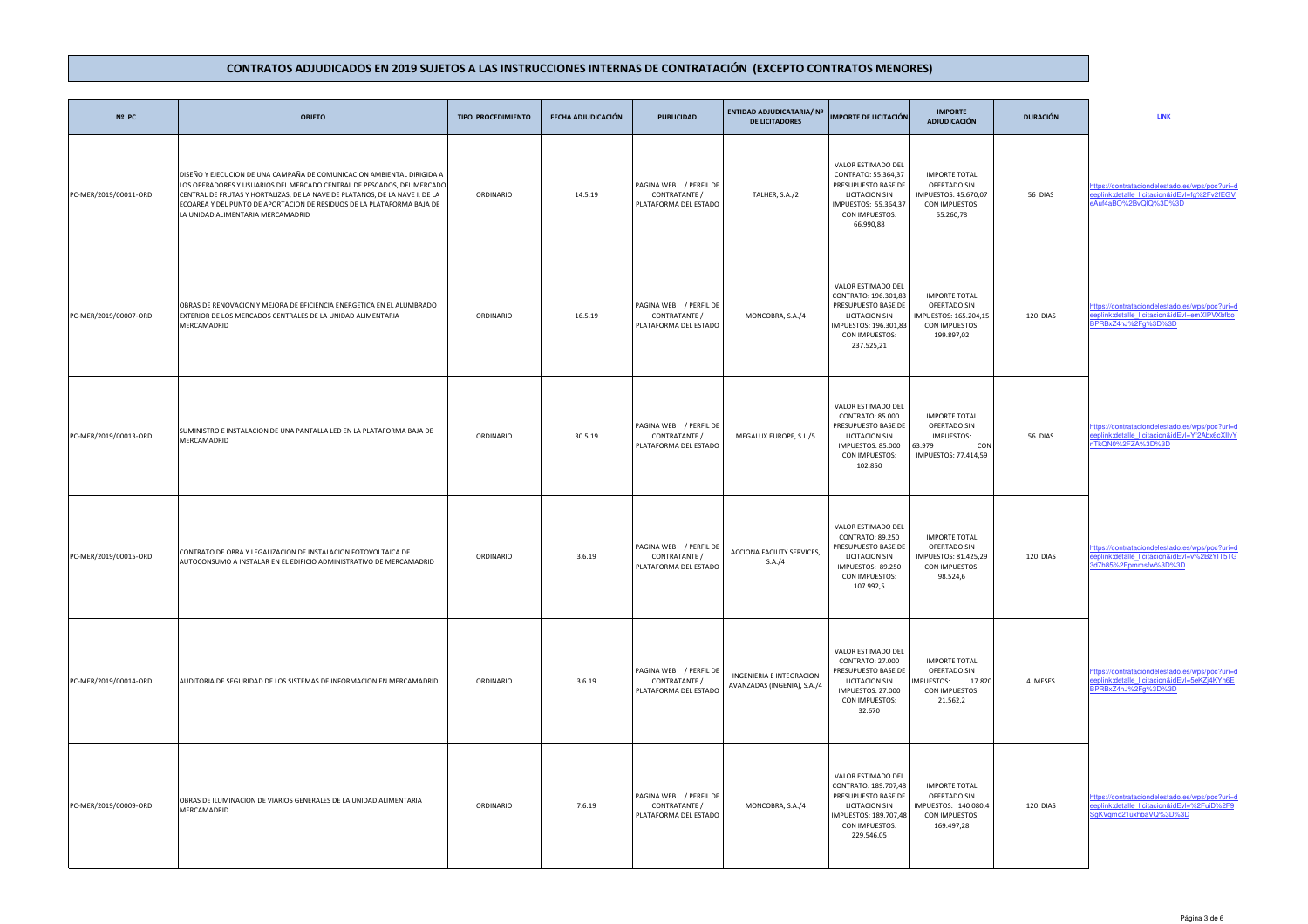| Nº PC                 | <b>OBJETO</b>                                                                                                                                                                                                                                                                                                                                  | <b>TIPO PROCEDIMIENTO</b> | FECHA ADJUDICACIÓN | <b>PUBLICIDAD</b>                                                | ENTIDAD ADJUDICATARIA/ Nº<br><b>DE LICITADORES</b>      | <b>IMPORTE DE LICITACIÓN</b>                                                                                                                       | <b>IMPORTE</b><br>ADJUDICACIÓN                                                                   | <b>DURACIÓN</b> | LINK                                                                                                                   |
|-----------------------|------------------------------------------------------------------------------------------------------------------------------------------------------------------------------------------------------------------------------------------------------------------------------------------------------------------------------------------------|---------------------------|--------------------|------------------------------------------------------------------|---------------------------------------------------------|----------------------------------------------------------------------------------------------------------------------------------------------------|--------------------------------------------------------------------------------------------------|-----------------|------------------------------------------------------------------------------------------------------------------------|
| PC-MER/2019/00011-ORD | DISEÑO Y EJECUCIÓN DE UNA CAMPAÑA DE COMUNICACIÓN AMBIENTAL DIRIGIDA A<br>LOS OPERADORES Y USUARIOS DEL MERCADO CENTRAL DE PESCADOS, DEL MERCADO<br>CENTRAL DE FRUTAS Y HORTALIZAS, DE LA NAVE DE PLATANOS, DE LA NAVE I, DE LA<br>ECOAREA Y DEL PUNTO DE APORTACION DE RESIDUOS DE LA PLATAFORMA BAJA DE<br>LA UNIDAD ALIMENTARIA MERCAMADRID | ORDINARIO                 | 14.5.19            | PAGINA WEB / PERFIL DE<br>CONTRATANTE /<br>PLATAFORMA DEL ESTADO | TALHER, S.A./2                                          | VALOR ESTIMADO DEL<br>CONTRATO: 55.364,37<br>PRESUPUESTO BASE DE<br><b>LICITACION SIN</b><br>IMPUESTOS: 55.364,37<br>CON IMPUESTOS:<br>66.990,88   | <b>IMPORTE TOTAL</b><br>OFERTADO SIN<br>IMPUESTOS: 45.670,07<br>CON IMPUESTOS:<br>55.260,78      | 56 DIAS         | tps://contrataciondelestado.es/wps/poc?uri=d<br>eplink:detalle_licitacion&idEvl=fg%2Fv2fEGV<br>Auf4aBO%2BvQlQ%3D%3D    |
| PC-MER/2019/00007-ORD | OBRAS DE RENOVACION Y MEJORA DE EFICIENCIA ENERGETICA EN EL ALUMBRADO<br>EXTERIOR DE LOS MERCADOS CENTRALES DE LA UNIDAD ALIMENTARIA<br>MERCAMADRID                                                                                                                                                                                            | ORDINARIO                 | 16.5.19            | PAGINA WEB / PERFIL DE<br>CONTRATANTE /<br>PLATAFORMA DEL ESTADO | MONCOBRA, S.A./4                                        | VALOR ESTIMADO DEL<br>CONTRATO: 196.301,83<br>PRESUPUESTO BASE DE<br><b>LICITACION SIN</b><br>MPUESTOS: 196.301,83<br>CON IMPUESTOS:<br>237.525,21 | <b>IMPORTE TOTAL</b><br>OFERTADO SIN<br>MPUESTOS: 165.204,15<br>CON IMPUESTOS:<br>199.897,02     | 120 DIAS        | ttps://contrataciondelestado.es/wps/poc?uri=d<br>eplink:detalle_licitacion&idEvl=emXIPVXbfbo<br>BPRBxZ4nJ%2Fg%3D%3D    |
| PC-MER/2019/00013-ORD | SUMINISTRO E INSTALACION DE UNA PANTALLA LED EN LA PLATAFORMA BAJA DE<br>MERCAMADRID                                                                                                                                                                                                                                                           | ORDINARIO                 | 30.5.19            | PAGINA WEB / PERFIL DE<br>CONTRATANTE /<br>PLATAFORMA DEL ESTADO | MEGALUX EUROPE, S.L./5                                  | VALOR ESTIMADO DEL<br>CONTRATO: 85.000<br>PRESUPUESTO BASE DE<br><b>LICITACION SIN</b><br>IMPUESTOS: 85.000<br>CON IMPUESTOS:<br>102.850           | <b>IMPORTE TOTAL</b><br>OFERTADO SIN<br>IMPUESTOS:<br>63.979<br>CON<br>IMPUESTOS: 77.414,59      | 56 DIAS         | ttps://contrataciondelestado.es/wps/poc?uri=d<br>eplink:detalle_licitacion&idEvl=Yf2Abx6cXIIvY<br>TkQN0%2FZA%3D%3D     |
| PC-MER/2019/00015-ORD | CONTRATO DE OBRA Y LEGALIZACION DE INSTALACION FOTOVOLTAICA DE<br>AUTOCONSUMO A INSTALAR EN EL EDIFICIO ADMINISTRATIVO DE MERCAMADRID                                                                                                                                                                                                          | ORDINARIO                 | 3.6.19             | PAGINA WEB / PERFIL DE<br>CONTRATANTE /<br>PLATAFORMA DEL ESTADO | ACCIONA FACILITY SERVICES,<br>S.A./4                    | VALOR ESTIMADO DEL<br>CONTRATO: 89.250<br>PRESUPUESTO BASE DE<br><b>LICITACION SIN</b><br>IMPUESTOS: 89.250<br>CON IMPUESTOS:<br>107.992,5         | <b>IMPORTE TOTAL</b><br>OFERTADO SIN<br>IMPUESTOS: 81.425,29<br>CON IMPUESTOS:<br>98.524,6       | 120 DIAS        | ps://contrataciondelestado.es/wps/poc?uri=d<br>eplink:detalle licitacion&idEvl=v%2BzYIT5TG<br>d7h85%2Fpmmsfw%3D%3D     |
| PC-MER/2019/00014-ORD | AUDITORIA DE SEGURIDAD DE LOS SISTEMAS DE INFORMACION EN MERCAMADRID                                                                                                                                                                                                                                                                           | ORDINARIO                 | 3.6.19             | PAGINA WEB / PERFIL DE<br>CONTRATANTE /<br>PLATAFORMA DEL ESTADO | INGENIERIA E INTEGRACION<br>AVANZADAS (INGENIA), S.A./4 | VALOR ESTIMADO DEL<br>CONTRATO: 27.000<br>PRESUPUESTO BASE DE<br><b>LICITACION SIN</b><br>IMPUESTOS: 27.000<br>CON IMPUESTOS:<br>32.670            | <b>IMPORTE TOTAL</b><br>OFERTADO SIN<br><b>APUESTOS:</b><br>17.820<br>CON IMPUESTOS:<br>21.562,2 | 4 MESES         | tps://contrataciondelestado.es/wps/poc?uri=d<br>eplink:detalle_licitacion&idEvl=5eKZj4KYh6E<br>BPRBxZ4nJ%2Fg%3D%3D     |
| PC-MER/2019/00009-ORD | OBRAS DE ILUMINACION DE VIARIOS GENERALES DE LA UNIDAD ALIMENTARIA<br>MERCAMADRID                                                                                                                                                                                                                                                              | ORDINARIO                 | 7.6.19             | PAGINA WEB / PERFIL DE<br>CONTRATANTE /<br>PLATAFORMA DEL ESTADO | MONCOBRA, S.A./4                                        | VALOR ESTIMADO DEL<br>CONTRATO: 189.707,48<br>PRESUPUESTO BASE DE<br><b>LICITACION SIN</b><br>MPUESTOS: 189.707,48<br>CON IMPUESTOS:<br>229.546.05 | <b>IMPORTE TOTAL</b><br>OFERTADO SIN<br>IMPUESTOS: 140.080,4<br>CON IMPUESTOS:<br>169.497,28     | 120 DIAS        | https://contrataciondelestado.es/wps/poc?uri=d<br>eplink:detalle_licitacion&idEvl=%2FuiD%2F9<br>SgKVqmq21uxhbaVQ%3D%3D |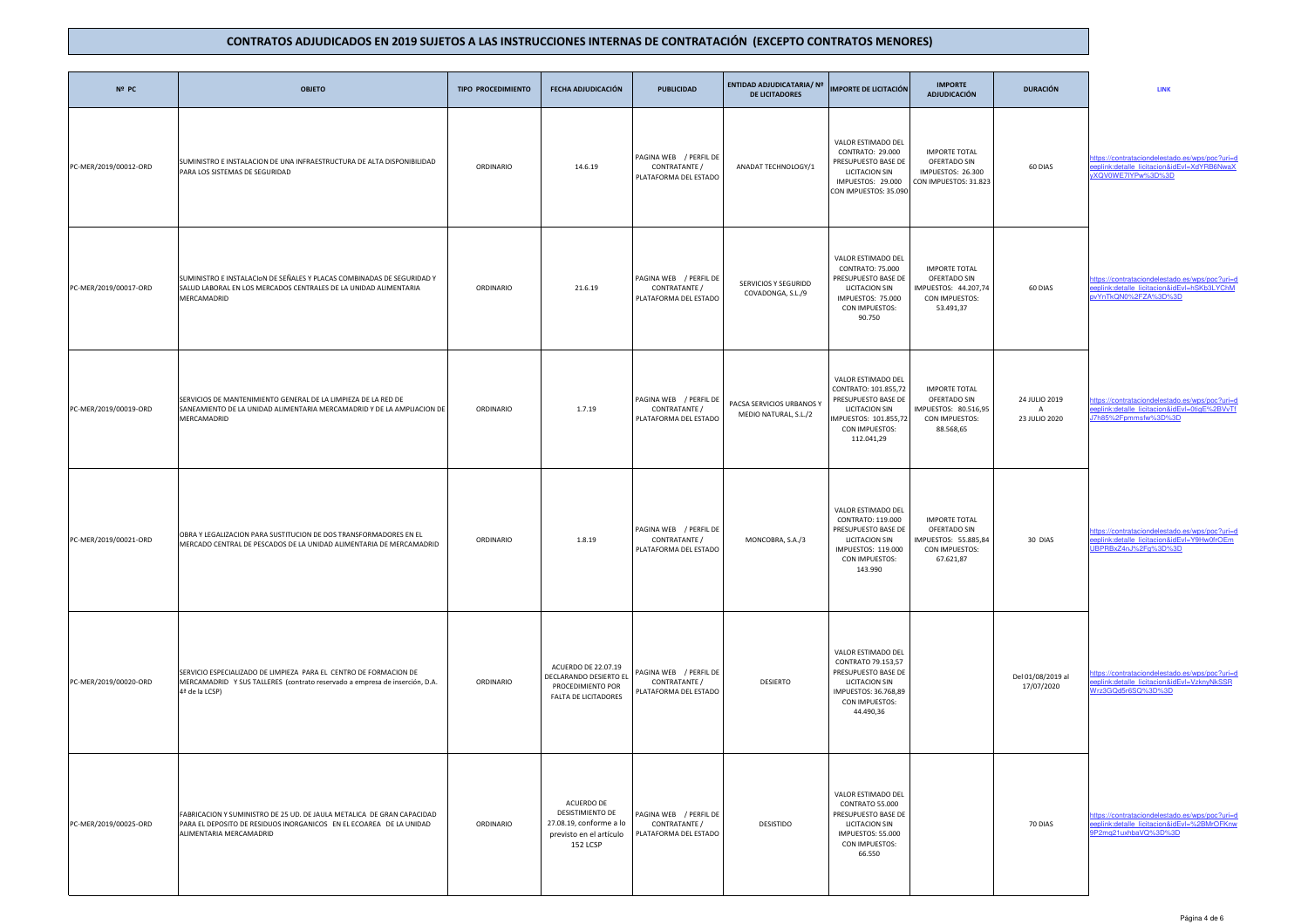| Nº PC                 | <b>OBJETO</b>                                                                                                                                                            | <b>TIPO PROCEDIMIENTO</b> | FECHA ADJUDICACIÓN                                                                               | <b>PUBLICIDAD</b>                                                | ENTIDAD ADJUDICATARIA/ Nº<br><b>DE LICITADORES</b> | <b>IMPORTE DE LICITACIÓN</b>                                                                                                                       | <b>IMPORTE</b><br><b>ADJUDICACIÓN</b>                                                       | <b>DURACIÓN</b>                                  | LINK                                                                                                                    |
|-----------------------|--------------------------------------------------------------------------------------------------------------------------------------------------------------------------|---------------------------|--------------------------------------------------------------------------------------------------|------------------------------------------------------------------|----------------------------------------------------|----------------------------------------------------------------------------------------------------------------------------------------------------|---------------------------------------------------------------------------------------------|--------------------------------------------------|-------------------------------------------------------------------------------------------------------------------------|
| PC-MER/2019/00012-ORD | SUMINISTRO E INSTALACION DE UNA INFRAESTRUCTURA DE ALTA DISPONIBILIDAD<br>PARA LOS SISTEMAS DE SEGURIDAD                                                                 | ORDINARIO                 | 14.6.19                                                                                          | PAGINA WEB / PERFIL DE<br>CONTRATANTE /<br>PLATAFORMA DEL ESTADO | ANADAT TECHNOLOGY/1                                | VALOR ESTIMADO DEL<br>CONTRATO: 29.000<br>PRESUPUESTO BASE DE<br><b>LICITACION SIN</b><br>IMPUESTOS: 29.000<br>CON IMPUESTOS: 35.090               | <b>IMPORTE TOTAL</b><br>OFERTADO SIN<br>IMPUESTOS: 26.300<br>CON IMPUESTOS: 31.823          | 60 DIAS                                          | ttps://contrataciondelestado.es/wps/poc?uri=d<br>eeplink:detalle_licitacion&idEvl=XdYRB6NwaX<br>yXQV0WE7IYPw%3D%3D      |
| PC-MER/2019/00017-ORD | SUMINISTRO E INSTALACION DE SEÑALES Y PLACAS COMBINADAS DE SEGURIDAD Y<br>SALUD LABORAL EN LOS MERCADOS CENTRALES DE LA UNIDAD ALIMENTARIA<br>MERCAMADRID                | ORDINARIO                 | 21.6.19                                                                                          | PAGINA WEB / PERFIL DE<br>CONTRATANTE /<br>PLATAFORMA DEL ESTADO | SERVICIOS Y SEGURIDD<br>COVADONGA, S.L./9          | VALOR ESTIMADO DEL<br>CONTRATO: 75.000<br>PRESUPUESTO BASE DE<br><b>LICITACION SIN</b><br>IMPUESTOS: 75.000<br>CON IMPUESTOS:<br>90.750            | <b>IMPORTE TOTAL</b><br>OFERTADO SIN<br>IMPUESTOS: 44.207,74<br>CON IMPUESTOS:<br>53.491,37 | 60 DIAS                                          | https://contrataciondelestado.es/wps/poc?uri=d<br>eeplink:detalle licitacion&idEvl=hSKb3LYChM<br>pvYnTkQN0%2FZA%3D%3D   |
| PC-MER/2019/00019-ORD | SERVICIOS DE MANTENIMIENTO GENERAL DE LA LIMPIEZA DE LA RED DE<br>SANEAMIENTO DE LA UNIDAD ALIMENTARIA MERCAMADRID Y DE LA AMPLIACION DE<br>MERCAMADRID                  | ORDINARIO                 | 1.7.19                                                                                           | PAGINA WEB / PERFIL DE<br>CONTRATANTE /<br>PLATAFORMA DEL ESTADO | PACSA SERVICIOS URBANOS Y<br>MEDIO NATURAL, S.L./2 | VALOR ESTIMADO DEL<br>CONTRATO: 101.855,72<br>PRESUPUESTO BASE DE<br><b>LICITACION SIN</b><br>MPUESTOS: 101.855,72<br>CON IMPUESTOS:<br>112.041,29 | <b>IMPORTE TOTAL</b><br>OFERTADO SIN<br>IMPUESTOS: 80.516,95<br>CON IMPUESTOS:<br>88.568,65 | 24 JULIO 2019<br>$\overline{A}$<br>23 JULIO 2020 | https://contrataciondelestado.es/wps/poc?uri=d<br>eeplink:detalle_licitacion&idEvl=0tigE%2BVvTf<br>J7h85%2Fpmmsfw%3D%3D |
| PC-MER/2019/00021-ORD | OBRA Y LEGALIZACION PARA SUSTITUCION DE DOS TRANSFORMADORES EN EL<br>MERCADO CENTRAL DE PESCADOS DE LA UNIDAD ALIMENTARIA DE MERCAMADRID                                 | ORDINARIO                 | 1.8.19                                                                                           | PAGINA WEB / PERFIL DE<br>CONTRATANTE /<br>PLATAFORMA DEL ESTADO | MONCOBRA, S.A./3                                   | VALOR ESTIMADO DEL<br>CONTRATO: 119.000<br>PRESUPUESTO BASE DE<br><b>LICITACION SIN</b><br>IMPUESTOS: 119.000<br>CON IMPUESTOS:<br>143.990         | <b>IMPORTE TOTAL</b><br>OFERTADO SIN<br>IMPUESTOS: 55.885,84<br>CON IMPUESTOS:<br>67.621,87 | 30 DIAS                                          | https://contrataciondelestado.es/wps/poc?uri=d<br>eeplink:detalle_licitacion&idEvl=Y9Hw0frOEm<br>JBPRBxZ4nJ%2Fg%3D%3D   |
| PC-MER/2019/00020-ORD | SERVICIO ESPECIALIZADO DE LIMPIEZA PARA EL CENTRO DE FORMACION DE<br>MERCAMADRID Y SUS TALLERES (contrato reservado a empresa de inserción, D.A.<br>4ª de la LCSP)       | ORDINARIO                 | ACUERDO DE 22.07.19<br>DECLARANDO DESIERTO EL<br>PROCEDIMIENTO POR<br>FALTA DE LICITADORES       | PAGINA WEB / PERFIL DE<br>CONTRATANTE /<br>PLATAFORMA DEL ESTADO | <b>DESIERTO</b>                                    | VALOR ESTIMADO DEL<br>CONTRATO 79.153,57<br>PRESUPUESTO BASE DE<br><b>LICITACION SIN</b><br>IMPUESTOS: 36.768,89<br>CON IMPUESTOS:<br>44.490,36    |                                                                                             | Del 01/08/2019 al<br>17/07/2020                  | https://contrataciondelestado.es/wps/poc?uri=d<br>eplink:detalle_licitacion&idEvl=VzknyNkSSR<br>Wrz3GQd5r6SQ%3D%3D      |
| PC-MER/2019/00025-ORD | FABRICACION Y SUMINISTRO DE 25 UD. DE JAULA METALICA DE GRAN CAPACIDAD<br>PARA EL DEPOSITO DE RESIDUOS INORGANICOS EN EL ECOAREA DE LA UNIDAD<br>ALIMENTARIA MERCAMADRID | ORDINARIO                 | ACUERDO DE<br>DESISTIMIENTO DE<br>27.08.19, conforme a lo<br>previsto en el artículo<br>152 LCSP | PAGINA WEB / PERFIL DE<br>CONTRATANTE /<br>PLATAFORMA DEL ESTADO | DESISTIDO                                          | VALOR ESTIMADO DEL<br><b>CONTRATO 55.000</b><br>PRESUPUESTO BASE DE<br><b>LICITACION SIN</b><br>IMPUESTOS: 55.000<br>CON IMPUESTOS:<br>66.550      |                                                                                             | 70 DIAS                                          | ttps://contrataciondelestado.es/wps/poc?uri=d<br>eeplink:detalle_licitacion&idEvl=%2BMrOFKnw<br>9P2mq21uxhbaVQ%3D%3D    |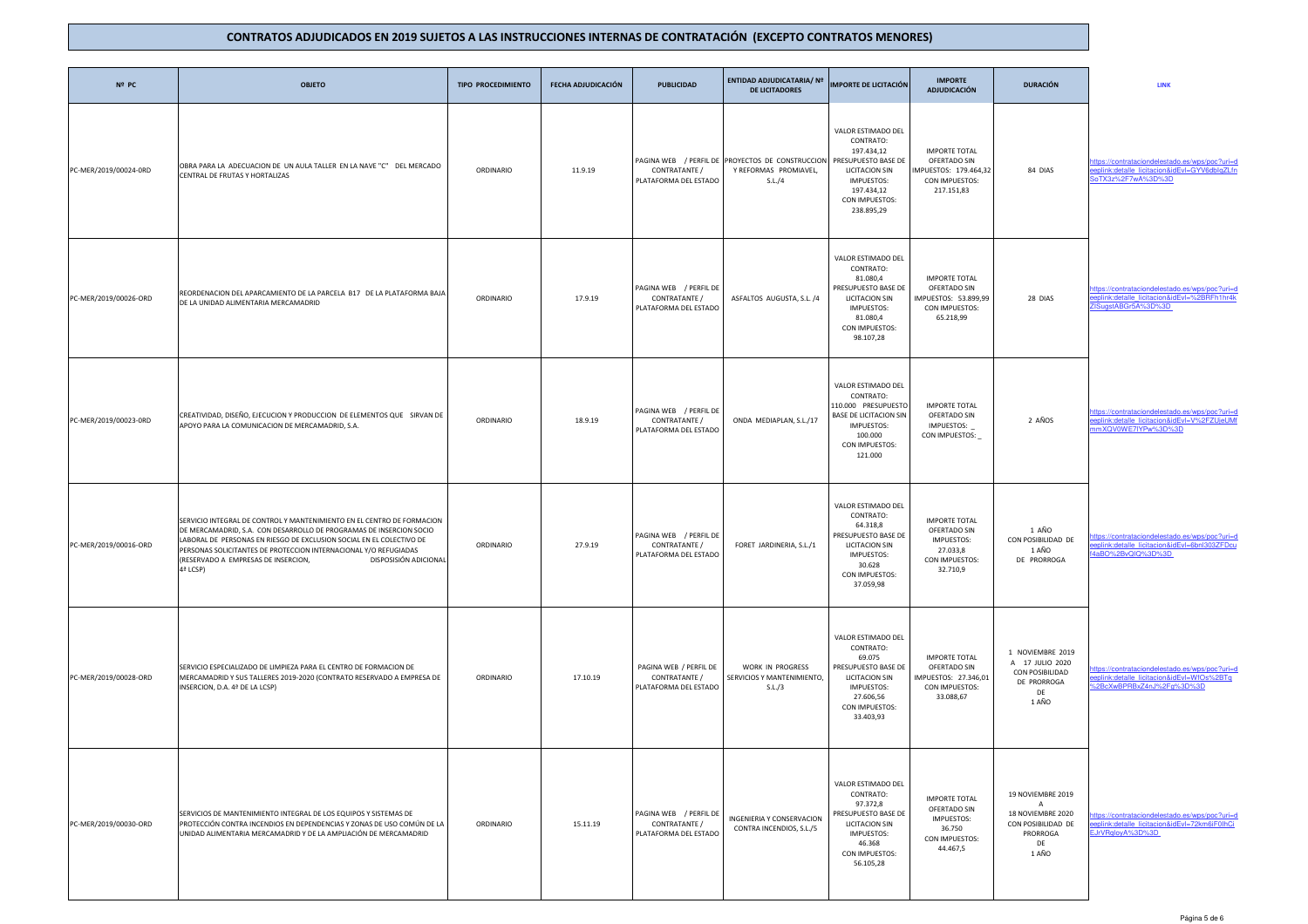| <b>Nº PC</b>          | <b>OBJETO</b>                                                                                                                                                                                                                                                                                                                                                         | <b>TIPO PROCEDIMIENTO</b> | FECHA ADJUDICACIÓN | <b>PUBLICIDAD</b>                                                | ENTIDAD ADJUDICATARIA/ Nº<br><b>DE LICITADORES</b>                                  | <b>IMPORTE DE LICITACIÓN</b>                                                                                                                         | <b>IMPORTE</b><br><b>ADJUDICACIÓN</b>                                                               | <b>DURACIÓN</b>                                                                                           | <b>LINK</b>                                                                                                            |
|-----------------------|-----------------------------------------------------------------------------------------------------------------------------------------------------------------------------------------------------------------------------------------------------------------------------------------------------------------------------------------------------------------------|---------------------------|--------------------|------------------------------------------------------------------|-------------------------------------------------------------------------------------|------------------------------------------------------------------------------------------------------------------------------------------------------|-----------------------------------------------------------------------------------------------------|-----------------------------------------------------------------------------------------------------------|------------------------------------------------------------------------------------------------------------------------|
| PC-MER/2019/00024-0RD | OBRA PARA LA ADECUACION DE UN AULA TALLER EN LA NAVE "C" DEL MERCADO<br>CENTRAL DE FRUTAS Y HORTALIZAS                                                                                                                                                                                                                                                                | ORDINARIO                 | 11.9.19            | CONTRATANTE /<br>PLATAFORMA DEL ESTADO                           | PAGINA WEB / PERFIL DE PROYECTOS DE CONSTRUCCION<br>Y REFORMAS PROMIAVEL,<br>S.L./4 | VALOR ESTIMADO DEL<br>CONTRATO:<br>197.434,12<br>PRESUPUESTO BASE DE<br>LICITACION SIN<br>IMPUESTOS:<br>197.434,12<br>CON IMPUESTOS:<br>238.895,29   | <b>IMPORTE TOTAL</b><br>OFERTADO SIN<br>IMPUESTOS: 179.464,32<br>CON IMPUESTOS:<br>217.151,83       | 84 DIAS                                                                                                   | https://contrataciondelestado.es/wps/poc?uri=d<br>eplink:detalle_licitacion&idEvl=GYV6dblqZLfn<br>SoTX3z%2F7wA%3D%3D   |
| PC-MER/2019/00026-ORD | REORDENACION DEL APARCAMIENTO DE LA PARCELA B17 DE LA PLATAFORMA BAJA<br>DE LA UNIDAD ALIMENTARIA MERCAMADRID                                                                                                                                                                                                                                                         | ORDINARIO                 | 17.9.19            | PAGINA WEB / PERFIL DE<br>CONTRATANTE /<br>PLATAFORMA DEL ESTADO | ASFALTOS AUGUSTA, S.L. /4                                                           | VALOR ESTIMADO DEL<br>CONTRATO:<br>81.080,4<br>PRESUPUESTO BASE DE<br><b>LICITACION SIN</b><br>IMPUESTOS:<br>81.080,4<br>CON IMPUESTOS:<br>98.107,28 | <b>IMPORTE TOTAL</b><br>OFERTADO SIN<br>IMPUESTOS: 53.899,99<br>CON IMPUESTOS:<br>65.218,99         | 28 DIAS                                                                                                   | ttps://contrataciondelestado.es/wps/poc?uri=d<br>eeplink:detalle_licitacion&idEvl=%2BRFh1hr4k<br>ISugstABGr5A%3D%3D    |
| PC-MER/2019/00023-0RD | CREATIVIDAD, DISEÑO, EJECUCION Y PRODUCCION DE ELEMENTOS QUE SIRVAN DE<br>APOYO PARA LA COMUNICACION DE MERCAMADRID, S.A.                                                                                                                                                                                                                                             | ORDINARIO                 | 18.9.19            | PAGINA WEB / PERFIL DE<br>CONTRATANTE /<br>PLATAFORMA DEL ESTADO | ONDA MEDIAPLAN, S.L./17                                                             | VALOR ESTIMADO DEL<br>CONTRATO:<br>110.000 PRESUPUESTO<br><b>BASE DE LICITACION SIN</b><br>IMPUESTOS:<br>100.000<br>CON IMPUESTOS:<br>121.000        | <b>IMPORTE TOTAL</b><br>OFERTADO SIN<br>IMPUESTOS:<br>CON IMPUESTOS:                                | 2 AÑOS                                                                                                    | ttps://contrataciondelestado.es/wps/poc?uri=d<br>eplink:detalle_licitacion&idEvl=V%2FZUjeUMf<br>nmXQV0WE7IYPw%3D%3D    |
| PC-MER/2019/00016-ORD | SERVICIO INTEGRAL DE CONTROL Y MANTENIMIENTO EN EL CENTRO DE FORMACION<br>DE MERCAMADRID, S.A. CON DESARROLLO DE PROGRAMAS DE INSERCION SOCIO<br>LABORAL DE PERSONAS EN RIESGO DE EXCLUSION SOCIAL EN EL COLECTIVO DE<br>PERSONAS SOLICITANTES DE PROTECCION INTERNACIONAL Y/O REFUGIADAS<br>(RESERVADO A EMPRESAS DE INSERCION,<br>DISPOSISIÓN ADICIONAL<br>4ª LCSP) | ORDINARIO                 | 27.9.19            | PAGINA WEB / PERFIL DE<br>CONTRATANTE /<br>PLATAFORMA DEL ESTADO | FORET JARDINERIA, S.L./1                                                            | VALOR ESTIMADO DEL<br>CONTRATO:<br>64.318,8<br>PRESUPUESTO BASE DE<br><b>LICITACION SIN</b><br>IMPUESTOS:<br>30.628<br>CON IMPUESTOS:<br>37.059,98   | <b>IMPORTE TOTAL</b><br>OFERTADO SIN<br><b>IMPUESTOS:</b><br>27.033,8<br>CON IMPUESTOS:<br>32.710,9 | 1 AÑO<br>CON POSIBILIDAD DE<br>1 AÑO<br>DE PRORROGA                                                       | ttps://contrataciondelestado.es/wps/poc?uri=d<br>eplink:detalle_licitacion&idEvl=6bnl303ZFDcu<br>f4aBO%2BvQIQ%3D%3D    |
| PC-MER/2019/00028-ORD | SERVICIO ESPECIALIZADO DE LIMPIEZA PARA EL CENTRO DE FORMACION DE<br>MERCAMADRID Y SUS TALLERES 2019-2020 (CONTRATO RESERVADO A EMPRESA DE<br>INSERCION, D.A. 4ª DE LA LCSP)                                                                                                                                                                                          | ORDINARIO                 | 17.10.19           | PAGINA WEB / PERFIL DE<br>CONTRATANTE /<br>PLATAFORMA DEL ESTADO | WORK IN PROGRESS<br>SERVICIOS Y MANTENIMIENTO,<br>$S.L.$ /3                         | VALOR ESTIMADO DEL<br>CONTRATO:<br>69.075<br>PRESUPUESTO BASE DE<br><b>LICITACION SIN</b><br>IMPUESTOS:<br>27.606,56<br>CON IMPUESTOS:<br>33.403,93  | <b>IMPORTE TOTAL</b><br>OFERTADO SIN<br>IMPUESTOS: 27.346,01<br>CON IMPUESTOS:<br>33.088,67         | 1 NOVIEMBRE 2019<br>A 17 JULIO 2020<br>CON POSIBILIDAD<br>DE PRORROGA<br>DE<br>1 AÑO                      | tps://contrataciondelestado.es/wps/poc?uri=d<br>eplink:detalle_licitacion&idEvl=WfOs%2BTq<br>%2BcXwBPRBxZ4nJ%2Fq%3D%3D |
| PC-MER/2019/00030-ORD | SERVICIOS DE MANTENIMIENTO INTEGRAL DE LOS EQUIPOS Y SISTEMAS DE<br>PROTECCIÓN CONTRA INCENDIOS EN DEPENDENCIAS Y ZONAS DE USO COMÚN DE LA<br>UNIDAD ALIMENTARIA MERCAMADRID Y DE LA AMPLIACIÓN DE MERCAMADRID                                                                                                                                                        | ORDINARIO                 | 15.11.19           | PAGINA WEB / PERFIL DE<br>CONTRATANTE /<br>PLATAFORMA DEL ESTADO | INGENIERIA Y CONSERVACION<br>CONTRA INCENDIOS, S.L./5                               | VALOR ESTIMADO DEL<br>CONTRATO:<br>97.372,8<br>PRESUPUESTO BASE DE<br><b>LICITACION SIN</b><br>IMPUESTOS:<br>46.368<br>CON IMPUESTOS:<br>56.105,28   | <b>IMPORTE TOTAL</b><br>OFERTADO SIN<br>IMPUESTOS:<br>36.750<br>CON IMPUESTOS:<br>44.467,5          | 19 NOVIEMBRE 2019<br>$\overline{A}$<br>18 NOVIEMBRE 2020<br>CON POSIBILIDAD DE<br>PRORROGA<br>DE<br>1 AÑO | https://contrataciondelestado.es/wps/poc?uri=d<br>eeplink:detalle_licitacion&idEvl=72km6iF0IhCi<br>EJrVRgloyA%3D%3D    |